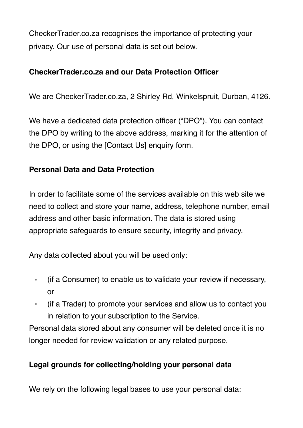CheckerTrader.co.za recognises the importance of protecting your privacy. Our use of personal data is set out below.

### **CheckerTrader.co.za and our Data Protection Officer**

We are CheckerTrader.co.za, 2 Shirley Rd, Winkelspruit, Durban, 4126.

We have a dedicated data protection officer ("DPO"). You can contact the DPO by writing to the above address, marking it for the attention of the DPO, or using the [Contact Us] enquiry form.

#### **Personal Data and Data Protection**

In order to facilitate some of the services available on this web site we need to collect and store your name, address, telephone number, email address and other basic information. The data is stored using appropriate safeguards to ensure security, integrity and privacy.

Any data collected about you will be used only:

- (if a Consumer) to enable us to validate your review if necessary, or
- (if a Trader) to promote your services and allow us to contact you in relation to your subscription to the Service.

Personal data stored about any consumer will be deleted once it is no longer needed for review validation or any related purpose.

#### **Legal grounds for collecting/holding your personal data**

We rely on the following legal bases to use your personal data: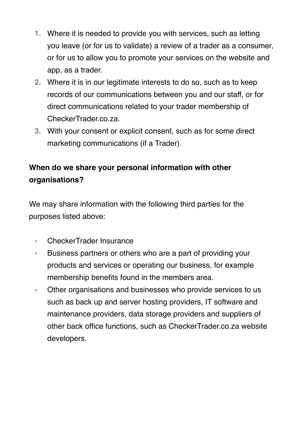- **1.** Where it is needed to provide you with services, such as letting you leave (or for us to validate) a review of a trader as a consumer, or for us to allow you to promote your services on the website and app, as a trader.
- **2.** Where it is in our legitimate interests to do so, such as to keep records of our communications between you and our staff, or for direct communications related to your trader membership of CheckerTrader.co.za.
- **3.** With your consent or explicit consent, such as for some direct marketing communications (if a Trader).

# **When do we share your personal information with other organisations?**

We may share information with the following third parties for the purposes listed above:

- CheckerTrader Insurance
- Business partners or others who are a part of providing your products and services or operating our business, for example membership benefits found in the members area.
- Other organisations and businesses who provide services to us such as back up and server hosting providers, IT software and maintenance providers, data storage providers and suppliers of other back office functions, such as CheckerTrader.co.za website developers.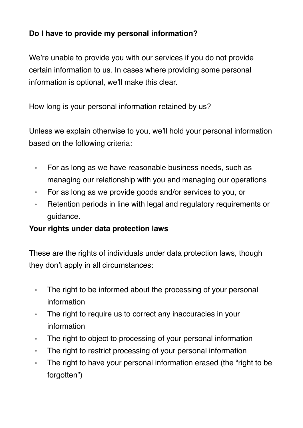# **Do I have to provide my personal information?**

We're unable to provide you with our services if you do not provide certain information to us. In cases where providing some personal information is optional, we'll make this clear.

How long is your personal information retained by us?

Unless we explain otherwise to you, we'll hold your personal information based on the following criteria:

- For as long as we have reasonable business needs, such as managing our relationship with you and managing our operations
- For as long as we provide goods and/or services to you, or
- Retention periods in line with legal and regulatory requirements or guidance.

## **Your rights under data protection laws**

These are the rights of individuals under data protection laws, though they don't apply in all circumstances:

- The right to be informed about the processing of your personal information
- The right to require us to correct any inaccuracies in your information
- The right to object to processing of your personal information
- The right to restrict processing of your personal information
- The right to have your personal information erased (the "right to be forgotten")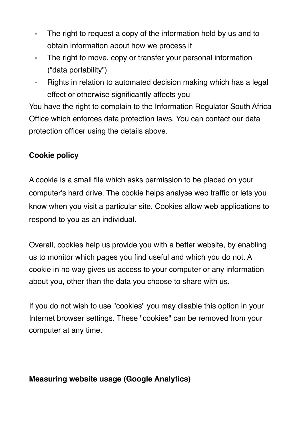- The right to request a copy of the information held by us and to obtain information about how we process it
- The right to move, copy or transfer your personal information ("data portability")
- Rights in relation to automated decision making which has a legal effect or otherwise significantly affects you

You have the right to complain to the Information Regulator South Africa Office which enforces data protection laws. You can contact our data protection officer using the details above.

## **Cookie policy**

A cookie is a small file which asks permission to be placed on your computer's hard drive. The cookie helps analyse web traffic or lets you know when you visit a particular site. Cookies allow web applications to respond to you as an individual.

Overall, cookies help us provide you with a better website, by enabling us to monitor which pages you find useful and which you do not. A cookie in no way gives us access to your computer or any information about you, other than the data you choose to share with us.

If you do not wish to use "cookies" you may disable this option in your Internet browser settings. These "cookies" can be removed from your computer at any time.

#### **Measuring website usage (Google Analytics)**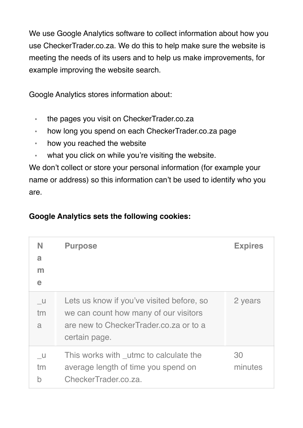We use Google Analytics software to collect information about how you use CheckerTrader.co.za. We do this to help make sure the website is meeting the needs of its users and to help us make improvements, for example improving the website search.

Google Analytics stores information about:

- the pages you visit on CheckerTrader.co.za
- how long you spend on each CheckerTrader.co.za page
- how you reached the website
- what you click on while you're visiting the website.

We don't collect or store your personal information (for example your name or address) so this information can't be used to identify who you are.

# **Google Analytics sets the following cookies:**

| N<br>a<br>$\mathsf{m}$<br>e | <b>Purpose</b>                                                                                                                                | <b>Expires</b> |
|-----------------------------|-----------------------------------------------------------------------------------------------------------------------------------------------|----------------|
| <b>U</b><br>tm<br>a         | Lets us know if you've visited before, so<br>we can count how many of our visitors<br>are new to CheckerTrader.co.za or to a<br>certain page. | 2 years        |
| <b>U</b><br>tm<br>b         | This works with _utmc to calculate the<br>average length of time you spend on<br>CheckerTrader.co.za.                                         | 30<br>minutes  |